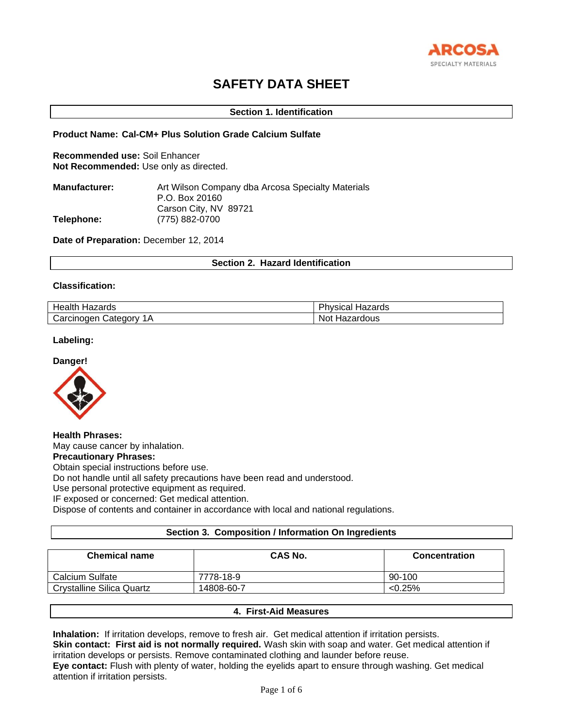

# **SAFETY DATA SHEET**

## **Section 1. Identification**

## **Product Name: Cal-CM+ Plus Solution Grade Calcium Sulfate**

**Recommended use:** Soil Enhancer **Not Recommended:** Use only as directed.

| <b>Manufacturer:</b> | Art Wilson Company dba Arcosa Specialty Materials |
|----------------------|---------------------------------------------------|
|                      | P.O. Box 20160                                    |
|                      | Carson City, NV 89721                             |
| Telephone:           | (775) 882-0700                                    |

**Date of Preparation:** December 12, 2014

## **Section 2. Hazard Identification**

# **Classification:**

| . .        | ш.                |
|------------|-------------------|
| .          | ,,,,,             |
| Healt.     | /sical            |
| ⊣azaros    | ⊓azarus           |
| ∶arcınoɑen | dous <sup>.</sup> |
| شateαorv   | NOL.              |
| IА         | ia∠ar             |

## **Labeling:**



**Health Phrases:** May cause cancer by inhalation. **Precautionary Phrases:** Obtain special instructions before use. Do not handle until all safety precautions have been read and understood. Use personal protective equipment as required. IF exposed or concerned: Get medical attention. Dispose of contents and container in accordance with local and national regulations.

# **Section 3. Composition / Information On Ingredients**

| <b>Chemical name</b>             | <b>CAS No.</b> | <b>Concentration</b> |
|----------------------------------|----------------|----------------------|
| Calcium Sulfate                  | 7778-18-9      | 90-100               |
| <b>Crystalline Silica Quartz</b> | 14808-60-7     | $< 0.25\%$           |

# **4. First-Aid Measures**

**Inhalation:** If irritation develops, remove to fresh air. Get medical attention if irritation persists.

**Skin contact: First aid is not normally required.** Wash skin with soap and water. Get medical attention if irritation develops or persists. Remove contaminated clothing and launder before reuse.

**Eye contact:** Flush with plenty of water, holding the eyelids apart to ensure through washing. Get medical attention if irritation persists.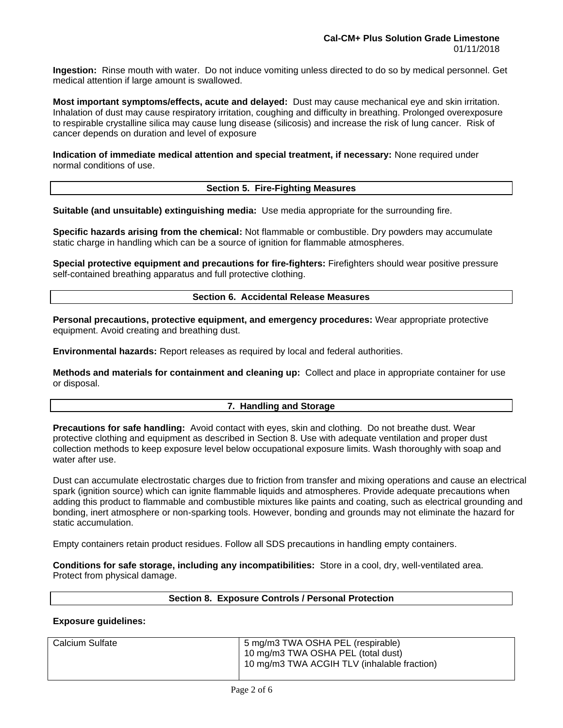**Ingestion:** Rinse mouth with water. Do not induce vomiting unless directed to do so by medical personnel. Get medical attention if large amount is swallowed.

**Most important symptoms/effects, acute and delayed:** Dust may cause mechanical eye and skin irritation. Inhalation of dust may cause respiratory irritation, coughing and difficulty in breathing. Prolonged overexposure to respirable crystalline silica may cause lung disease (silicosis) and increase the risk of lung cancer. Risk of cancer depends on duration and level of exposure

**Indication of immediate medical attention and special treatment, if necessary:** None required under normal conditions of use.

# **Section 5. Fire-Fighting Measures**

**Suitable (and unsuitable) extinguishing media:** Use media appropriate for the surrounding fire.

**Specific hazards arising from the chemical:** Not flammable or combustible. Dry powders may accumulate static charge in handling which can be a source of ignition for flammable atmospheres.

**Special protective equipment and precautions for fire-fighters:** Firefighters should wear positive pressure self-contained breathing apparatus and full protective clothing.

# **Section 6. Accidental Release Measures**

**Personal precautions, protective equipment, and emergency procedures:** Wear appropriate protective equipment. Avoid creating and breathing dust.

**Environmental hazards:** Report releases as required by local and federal authorities.

**Methods and materials for containment and cleaning up:** Collect and place in appropriate container for use or disposal.

# **7. Handling and Storage**

**Precautions for safe handling:** Avoid contact with eyes, skin and clothing. Do not breathe dust. Wear protective clothing and equipment as described in Section 8. Use with adequate ventilation and proper dust collection methods to keep exposure level below occupational exposure limits. Wash thoroughly with soap and water after use.

Dust can accumulate electrostatic charges due to friction from transfer and mixing operations and cause an electrical spark (ignition source) which can ignite flammable liquids and atmospheres. Provide adequate precautions when adding this product to flammable and combustible mixtures like paints and coating, such as electrical grounding and bonding, inert atmosphere or non-sparking tools. However, bonding and grounds may not eliminate the hazard for static accumulation.

Empty containers retain product residues. Follow all SDS precautions in handling empty containers.

**Conditions for safe storage, including any incompatibilities:** Store in a cool, dry, well-ventilated area. Protect from physical damage.

### **Section 8. Exposure Controls / Personal Protection**

# **Exposure guidelines:**

| Calcium Sulfate | 5 mg/m3 TWA OSHA PEL (respirable)           |
|-----------------|---------------------------------------------|
|                 | 10 mg/m3 TWA OSHA PEL (total dust)          |
|                 | 10 mg/m3 TWA ACGIH TLV (inhalable fraction) |
|                 |                                             |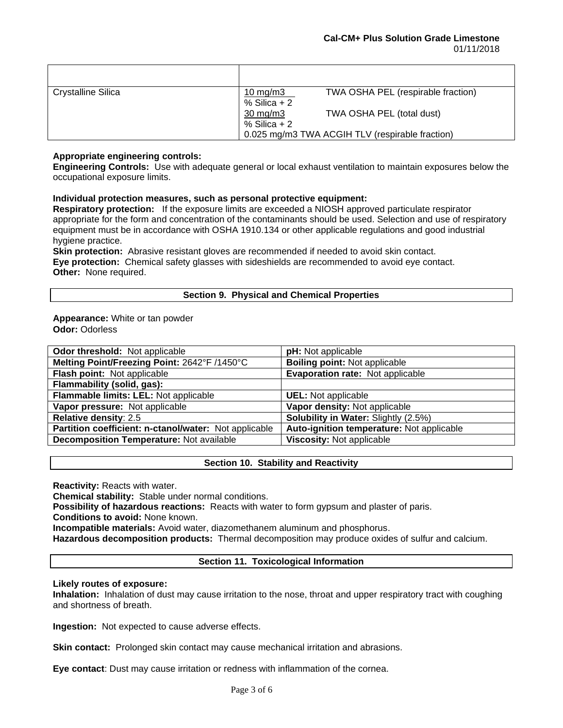| Crystalline Silica | 10 mg/m $3$                         | TWA OSHA PEL (respirable fraction)              |
|--------------------|-------------------------------------|-------------------------------------------------|
|                    | $%$ Silica + 2<br>$30 \text{ mg/m}$ | TWA OSHA PEL (total dust)                       |
|                    | % Silica $+2$                       |                                                 |
|                    |                                     | 0.025 mg/m3 TWA ACGIH TLV (respirable fraction) |

# **Appropriate engineering controls:**

**Engineering Controls:** Use with adequate general or local exhaust ventilation to maintain exposures below the occupational exposure limits.

# **Individual protection measures, such as personal protective equipment:**

**Respiratory protection:** If the exposure limits are exceeded a NIOSH approved particulate respirator appropriate for the form and concentration of the contaminants should be used. Selection and use of respiratory equipment must be in accordance with OSHA 1910.134 or other applicable regulations and good industrial hygiene practice.

**Skin protection:** Abrasive resistant gloves are recommended if needed to avoid skin contact. **Eye protection:** Chemical safety glasses with sideshields are recommended to avoid eye contact. **Other:** None required.

# **Section 9. Physical and Chemical Properties**

### **Appearance:** White or tan powder **Odor:** Odorless

| <b>Odor threshold:</b> Not applicable                 | pH: Not applicable                          |
|-------------------------------------------------------|---------------------------------------------|
| Melting Point/Freezing Point: 2642°F /1450°C          | <b>Boiling point: Not applicable</b>        |
| Flash point: Not applicable                           | Evaporation rate: Not applicable            |
| Flammability (solid, gas):                            |                                             |
| Flammable limits: LEL: Not applicable                 | <b>UEL:</b> Not applicable                  |
| Vapor pressure: Not applicable                        | Vapor density: Not applicable               |
| Relative density: 2.5                                 | <b>Solubility in Water: Slightly (2.5%)</b> |
| Partition coefficient: n-ctanol/water: Not applicable | Auto-ignition temperature: Not applicable   |
| Decomposition Temperature: Not available              | Viscosity: Not applicable                   |
|                                                       |                                             |

# **Section 10. Stability and Reactivity**

**Reactivity:** Reacts with water.

**Chemical stability:** Stable under normal conditions.

**Possibility of hazardous reactions:** Reacts with water to form gypsum and plaster of paris.

**Conditions to avoid:** None known.

**Incompatible materials:** Avoid water, diazomethanem aluminum and phosphorus.

**Hazardous decomposition products:** Thermal decomposition may produce oxides of sulfur and calcium.

# **Section 11. Toxicological Information**

# **Likely routes of exposure:**

**Inhalation:** Inhalation of dust may cause irritation to the nose, throat and upper respiratory tract with coughing and shortness of breath.

**Ingestion:** Not expected to cause adverse effects.

**Skin contact:** Prolonged skin contact may cause mechanical irritation and abrasions.

**Eye contact**: Dust may cause irritation or redness with inflammation of the cornea.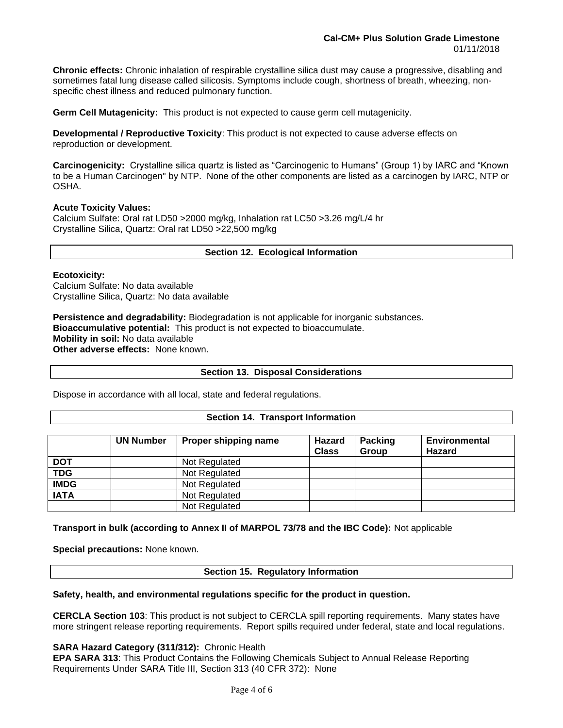**Chronic effects:** Chronic inhalation of respirable crystalline silica dust may cause a progressive, disabling and sometimes fatal lung disease called silicosis. Symptoms include cough, shortness of breath, wheezing, nonspecific chest illness and reduced pulmonary function.

**Germ Cell Mutagenicity:** This product is not expected to cause germ cell mutagenicity.

**Developmental / Reproductive Toxicity**: This product is not expected to cause adverse effects on reproduction or development.

**Carcinogenicity:** Crystalline silica quartz is listed as "Carcinogenic to Humans" (Group 1) by IARC and "Known to be a Human Carcinogen" by NTP. None of the other components are listed as a carcinogen by IARC, NTP or OSHA.

## **Acute Toxicity Values:**

Calcium Sulfate: Oral rat LD50 >2000 mg/kg, Inhalation rat LC50 >3.26 mg/L/4 hr Crystalline Silica, Quartz: Oral rat LD50 >22,500 mg/kg

# **Section 12. Ecological Information**

### **Ecotoxicity:**

Calcium Sulfate: No data available Crystalline Silica, Quartz: No data available

**Persistence and degradability:** Biodegradation is not applicable for inorganic substances. **Bioaccumulative potential:** This product is not expected to bioaccumulate. **Mobility in soil:** No data available **Other adverse effects:** None known.

### **Section 13. Disposal Considerations**

Dispose in accordance with all local, state and federal regulations.

### **Section 14. Transport Information**

|             | <b>UN Number</b> | Proper shipping name | <b>Hazard</b><br><b>Class</b> | <b>Packing</b><br><b>Group</b> | Environmental<br>Hazard |
|-------------|------------------|----------------------|-------------------------------|--------------------------------|-------------------------|
| <b>DOT</b>  |                  | Not Regulated        |                               |                                |                         |
| <b>TDG</b>  |                  | Not Regulated        |                               |                                |                         |
| <b>IMDG</b> |                  | Not Regulated        |                               |                                |                         |
| <b>IATA</b> |                  | Not Regulated        |                               |                                |                         |
|             |                  | Not Regulated        |                               |                                |                         |

**Transport in bulk (according to Annex II of MARPOL 73/78 and the IBC Code):** Not applicable

**Special precautions:** None known.

**Section 15. Regulatory Information**

### **Safety, health, and environmental regulations specific for the product in question.**

**CERCLA Section 103**: This product is not subject to CERCLA spill reporting requirements. Many states have more stringent release reporting requirements. Report spills required under federal, state and local regulations.

**SARA Hazard Category (311/312):** Chronic Health

**EPA SARA 313**: This Product Contains the Following Chemicals Subject to Annual Release Reporting Requirements Under SARA Title III, Section 313 (40 CFR 372): None